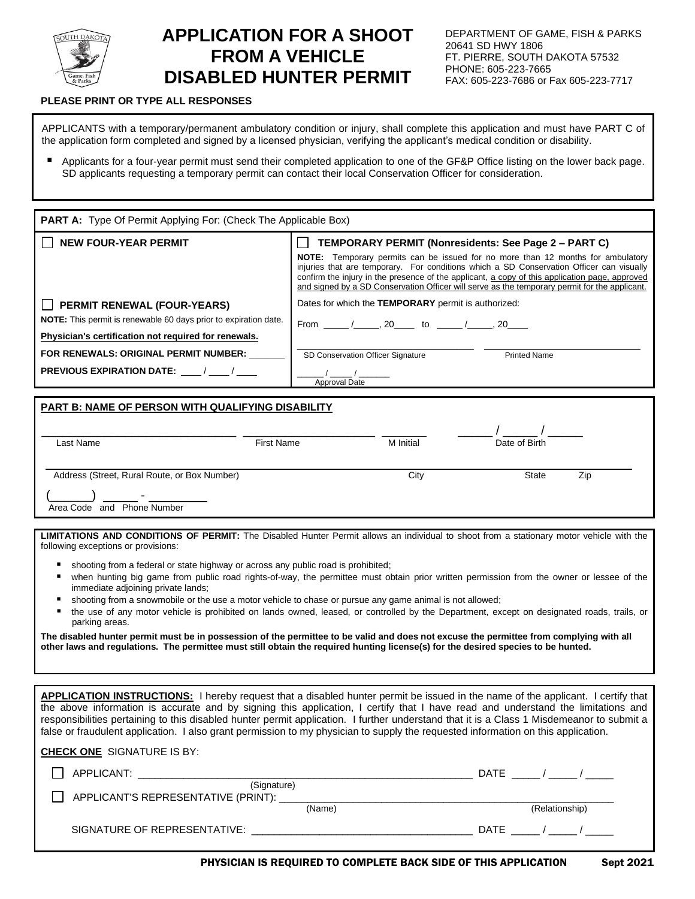

## **APPLICATION FOR A SHOOT FROM A VEHICLE DISABLED HUNTER PERMIT**

## **PLEASE PRINT OR TYPE ALL RESPONSES**

APPLICANTS with a temporary/permanent ambulatory condition or injury, shall complete this application and must have PART C of the application form completed and signed by a licensed physician, verifying the applicant's medical condition or disability.

Applicants for a four-year permit must send their completed application to one of the GF&P Office listing on the lower back page. SD applicants requesting a temporary permit can contact their local Conservation Officer for consideration.

| PART A: Type Of Permit Applying For: (Check The Applicable Box)                                                                                                       |                                                                                                                                                                                                                                                                                                                                                                                                                                               |  |  |
|-----------------------------------------------------------------------------------------------------------------------------------------------------------------------|-----------------------------------------------------------------------------------------------------------------------------------------------------------------------------------------------------------------------------------------------------------------------------------------------------------------------------------------------------------------------------------------------------------------------------------------------|--|--|
| <b>NEW FOUR-YEAR PERMIT</b>                                                                                                                                           | TEMPORARY PERMIT (Nonresidents: See Page 2 - PART C)<br><b>NOTE:</b> Temporary permits can be issued for no more than 12 months for ambulatory<br>injuries that are temporary. For conditions which a SD Conservation Officer can visually<br>confirm the injury in the presence of the applicant, a copy of this application page, approved<br>and signed by a SD Conservation Officer will serve as the temporary permit for the applicant. |  |  |
| <b>PERMIT RENEWAL (FOUR-YEARS)</b><br><b>NOTE:</b> This permit is renewable 60 days prior to expiration date.<br>Physician's certification not required for renewals. | Dates for which the TEMPORARY permit is authorized:<br>From ______/______, 20_______ to _______/______, 20_____                                                                                                                                                                                                                                                                                                                               |  |  |
| FOR RENEWALS: ORIGINAL PERMIT NUMBER:<br><b>PREVIOUS EXPIRATION DATE:</b> / /                                                                                         | SD Conservation Officer Signature<br><b>Printed Name</b><br>Approval Date                                                                                                                                                                                                                                                                                                                                                                     |  |  |
| <b>PART B: NAME OF PERSON WITH QUALIFYING DISABILITY</b>                                                                                                              |                                                                                                                                                                                                                                                                                                                                                                                                                                               |  |  |
| Last Name<br><b>First Name</b>                                                                                                                                        | M Initial<br>Date of Birth                                                                                                                                                                                                                                                                                                                                                                                                                    |  |  |
| Address (Street, Rural Route, or Box Number)<br>Area Code and Phone Number                                                                                            | City<br><b>State</b><br>Zip                                                                                                                                                                                                                                                                                                                                                                                                                   |  |  |

**LIMITATIONS AND CONDITIONS OF PERMIT:** The Disabled Hunter Permit allows an individual to shoot from a stationary motor vehicle with the following exceptions or provisions:

shooting from a federal or state highway or across any public road is prohibited;

**CHECK ONE** SIGNATURE IS BY:

- when hunting big game from public road rights-of-way, the permittee must obtain prior written permission from the owner or lessee of the immediate adjoining private lands;
- shooting from a snowmobile or the use a motor vehicle to chase or pursue any game animal is not allowed;
- the use of any motor vehicle is prohibited on lands owned, leased, or controlled by the Department, except on designated roads, trails, or parking areas.

**The disabled hunter permit must be in possession of the permittee to be valid and does not excuse the permittee from complying with all other laws and regulations. The permittee must still obtain the required hunting license(s) for the desired species to be hunted.**

**APPLICATION INSTRUCTIONS:** I hereby request that a disabled hunter permit be issued in the name of the applicant. I certify that the above information is accurate and by signing this application, I certify that I have read and understand the limitations and responsibilities pertaining to this disabled hunter permit application. I further understand that it is a Class 1 Misdemeanor to submit a false or fraudulent application. I also grant permission to my physician to supply the requested information on this application.

| <b>CHECK ONE</b> SIGNATURE IS BY:                                                                                                   |        |                |
|-------------------------------------------------------------------------------------------------------------------------------------|--------|----------------|
| APPLICANT:<br><u> 1980 - Jan Stein Stein, Amerikaansk politik fan de Afrikaanse komme op de Afrikaanse komme op de Afrikaanse k</u> |        | DATE           |
| (Signature)<br>APPLICANT'S REPRESENTATIVE (PRINT): _____                                                                            |        |                |
|                                                                                                                                     | (Name) | (Relationship) |
| SIGNATURE OF REPRESENTATIVE:                                                                                                        |        | DATE           |